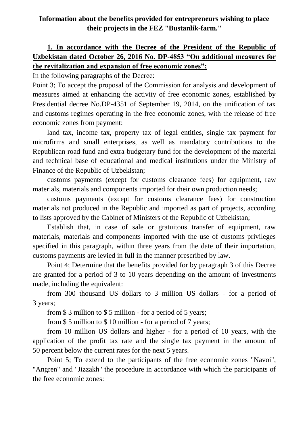## **Information about the benefits provided for entrepreneurs wishing to place their projects in the FEZ "Bustanlik-farm."**

## **1. In accordance with the Decree of the President of the Republic of Uzbekistan dated October 26, 2016 No. DP-4853 "On additional measures for the revitalization and expansion of free economic zones";**

In the following paragraphs of the Decree:

Point 3; To accept the proposal of the Commission for analysis and development of measures aimed at enhancing the activity of free economic zones, established by Presidential decree No.DP-4351 of September 19, 2014, on the unification of tax and customs regimes operating in the free economic zones, with the release of free economic zones from payment:

land tax, income tax, property tax of legal entities, single tax payment for microfirms and small enterprises, as well as mandatory contributions to the Republican road fund and extra-budgetary fund for the development of the material and technical base of educational and medical institutions under the Ministry of Finance of the Republic of Uzbekistan;

customs payments (except for customs clearance fees) for equipment, raw materials, materials and components imported for their own production needs;

customs payments (except for customs clearance fees) for construction materials not produced in the Republic and imported as part of projects, according to lists approved by the Cabinet of Ministers of the Republic of Uzbekistan;

Establish that, in case of sale or gratuitous transfer of equipment, raw materials, materials and components imported with the use of customs privileges specified in this paragraph, within three years from the date of their importation, customs payments are levied in full in the manner prescribed by law.

Point 4; Determine that the benefits provided for by paragraph 3 of this Decree are granted for a period of 3 to 10 years depending on the amount of investments made, including the equivalent:

from 300 thousand US dollars to 3 million US dollars - for a period of 3 years;

from \$ 3 million to \$ 5 million - for a period of 5 years;

from \$ 5 million to \$ 10 million - for a period of 7 years;

from 10 million US dollars and higher - for a period of 10 years, with the application of the profit tax rate and the single tax payment in the amount of 50 percent below the current rates for the next 5 years.

Point 5; To extend to the participants of the free economic zones "Navoi", "Angren" and "Jizzakh" the procedure in accordance with which the participants of the free economic zones: